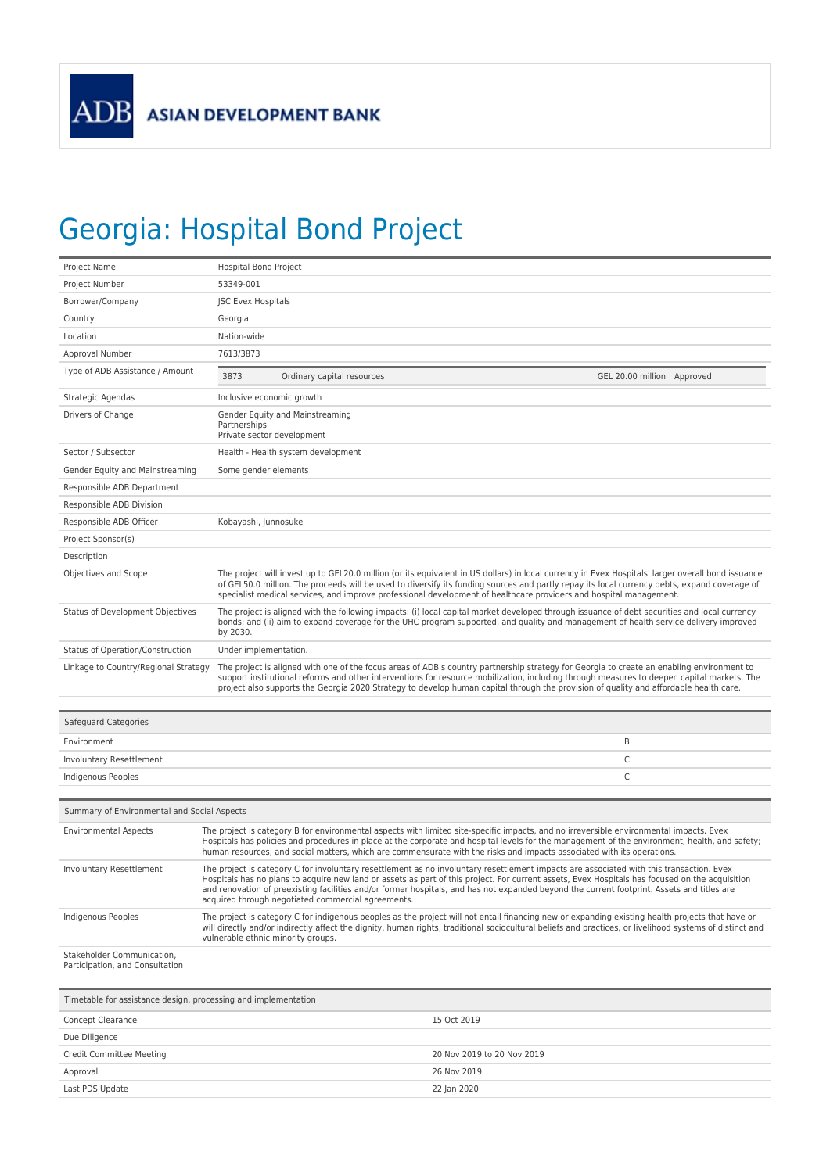## Georgia: Hospital Bond Project

| Project Name                                                   |                                                                               | <b>Hospital Bond Project</b>                                                                                                                                                                                                                                                                                                                                                                                                                                                                    |                            |  |  |
|----------------------------------------------------------------|-------------------------------------------------------------------------------|-------------------------------------------------------------------------------------------------------------------------------------------------------------------------------------------------------------------------------------------------------------------------------------------------------------------------------------------------------------------------------------------------------------------------------------------------------------------------------------------------|----------------------------|--|--|
| Project Number                                                 | 53349-001                                                                     |                                                                                                                                                                                                                                                                                                                                                                                                                                                                                                 |                            |  |  |
| Borrower/Company                                               |                                                                               | <b>JSC Evex Hospitals</b>                                                                                                                                                                                                                                                                                                                                                                                                                                                                       |                            |  |  |
| Country                                                        | Georgia                                                                       |                                                                                                                                                                                                                                                                                                                                                                                                                                                                                                 |                            |  |  |
| Location                                                       | Nation-wide                                                                   |                                                                                                                                                                                                                                                                                                                                                                                                                                                                                                 |                            |  |  |
| Approval Number                                                | 7613/3873                                                                     |                                                                                                                                                                                                                                                                                                                                                                                                                                                                                                 |                            |  |  |
| Type of ADB Assistance / Amount                                | 3873                                                                          | Ordinary capital resources                                                                                                                                                                                                                                                                                                                                                                                                                                                                      | GEL 20.00 million Approved |  |  |
| Strategic Agendas                                              | Inclusive economic growth                                                     |                                                                                                                                                                                                                                                                                                                                                                                                                                                                                                 |                            |  |  |
| Drivers of Change                                              | Gender Equity and Mainstreaming<br>Partnerships<br>Private sector development |                                                                                                                                                                                                                                                                                                                                                                                                                                                                                                 |                            |  |  |
| Sector / Subsector                                             | Health - Health system development                                            |                                                                                                                                                                                                                                                                                                                                                                                                                                                                                                 |                            |  |  |
| Gender Equity and Mainstreaming                                |                                                                               | Some gender elements                                                                                                                                                                                                                                                                                                                                                                                                                                                                            |                            |  |  |
| Responsible ADB Department                                     |                                                                               |                                                                                                                                                                                                                                                                                                                                                                                                                                                                                                 |                            |  |  |
| Responsible ADB Division                                       |                                                                               |                                                                                                                                                                                                                                                                                                                                                                                                                                                                                                 |                            |  |  |
| Responsible ADB Officer                                        |                                                                               | Kobayashi, Junnosuke                                                                                                                                                                                                                                                                                                                                                                                                                                                                            |                            |  |  |
| Project Sponsor(s)                                             |                                                                               |                                                                                                                                                                                                                                                                                                                                                                                                                                                                                                 |                            |  |  |
| Description                                                    |                                                                               |                                                                                                                                                                                                                                                                                                                                                                                                                                                                                                 |                            |  |  |
| Objectives and Scope                                           |                                                                               | The project will invest up to GEL20.0 million (or its equivalent in US dollars) in local currency in Evex Hospitals' larger overall bond issuance<br>of GEL50.0 million. The proceeds will be used to diversify its funding sources and partly repay its local currency debts, expand coverage of<br>specialist medical services, and improve professional development of healthcare providers and hospital management.                                                                         |                            |  |  |
| Status of Development Objectives                               | by 2030.                                                                      | The project is aligned with the following impacts: (i) local capital market developed through issuance of debt securities and local currency<br>bonds; and (ii) aim to expand coverage for the UHC program supported, and quality and management of health service delivery improved                                                                                                                                                                                                            |                            |  |  |
| Status of Operation/Construction                               | Under implementation.                                                         |                                                                                                                                                                                                                                                                                                                                                                                                                                                                                                 |                            |  |  |
| Linkage to Country/Regional Strategy                           |                                                                               | The project is aligned with one of the focus areas of ADB's country partnership strategy for Georgia to create an enabling environment to<br>support institutional reforms and other interventions for resource mobilization, including through measures to deepen capital markets. The<br>project also supports the Georgia 2020 Strategy to develop human capital through the provision of quality and affordable health care.                                                                |                            |  |  |
| Safeguard Categories                                           |                                                                               |                                                                                                                                                                                                                                                                                                                                                                                                                                                                                                 |                            |  |  |
| Environment                                                    |                                                                               |                                                                                                                                                                                                                                                                                                                                                                                                                                                                                                 | B                          |  |  |
| Involuntary Resettlement                                       |                                                                               |                                                                                                                                                                                                                                                                                                                                                                                                                                                                                                 | C                          |  |  |
| Indigenous Peoples                                             |                                                                               |                                                                                                                                                                                                                                                                                                                                                                                                                                                                                                 | C                          |  |  |
| Summary of Environmental and Social Aspects                    |                                                                               |                                                                                                                                                                                                                                                                                                                                                                                                                                                                                                 |                            |  |  |
| <b>Environmental Aspects</b>                                   |                                                                               | The project is category B for environmental aspects with limited site-specific impacts, and no irreversible environmental impacts. Evex<br>Hospitals has policies and procedures in place at the corporate and hospital levels for the management of the environment, health, and safety;<br>human resources; and social matters, which are commensurate with the risks and impacts associated with its operations.                                                                             |                            |  |  |
| Involuntary Resettlement                                       |                                                                               | The project is category C for involuntary resettlement as no involuntary resettlement impacts are associated with this transaction. Evex<br>Hospitals has no plans to acquire new land or assets as part of this project. For current assets, Evex Hospitals has focused on the acquisition<br>and renovation of preexisting facilities and/or former hospitals, and has not expanded beyond the current footprint. Assets and titles are<br>acquired through negotiated commercial agreements. |                            |  |  |
| Indigenous Peoples                                             |                                                                               | The project is category C for indigenous peoples as the project will not entail financing new or expanding existing health projects that have or<br>will directly and/or indirectly affect the dignity, human rights, traditional sociocultural beliefs and practices, or livelihood systems of distinct and<br>vulnerable ethnic minority groups.                                                                                                                                              |                            |  |  |
| Stakeholder Communication,<br>Participation, and Consultation  |                                                                               |                                                                                                                                                                                                                                                                                                                                                                                                                                                                                                 |                            |  |  |
| Timetable for assistance design, processing and implementation |                                                                               |                                                                                                                                                                                                                                                                                                                                                                                                                                                                                                 |                            |  |  |
| Concept Clearance                                              |                                                                               | 15 Oct 2019                                                                                                                                                                                                                                                                                                                                                                                                                                                                                     |                            |  |  |

| Concept Clearance        | 15 Oct 2019                |
|--------------------------|----------------------------|
| Due Diligence            |                            |
| Credit Committee Meeting | 20 Nov 2019 to 20 Nov 2019 |
| Approval                 | 26 Nov 2019                |
| Last PDS Update          | 22 Jan 2020                |
|                          |                            |